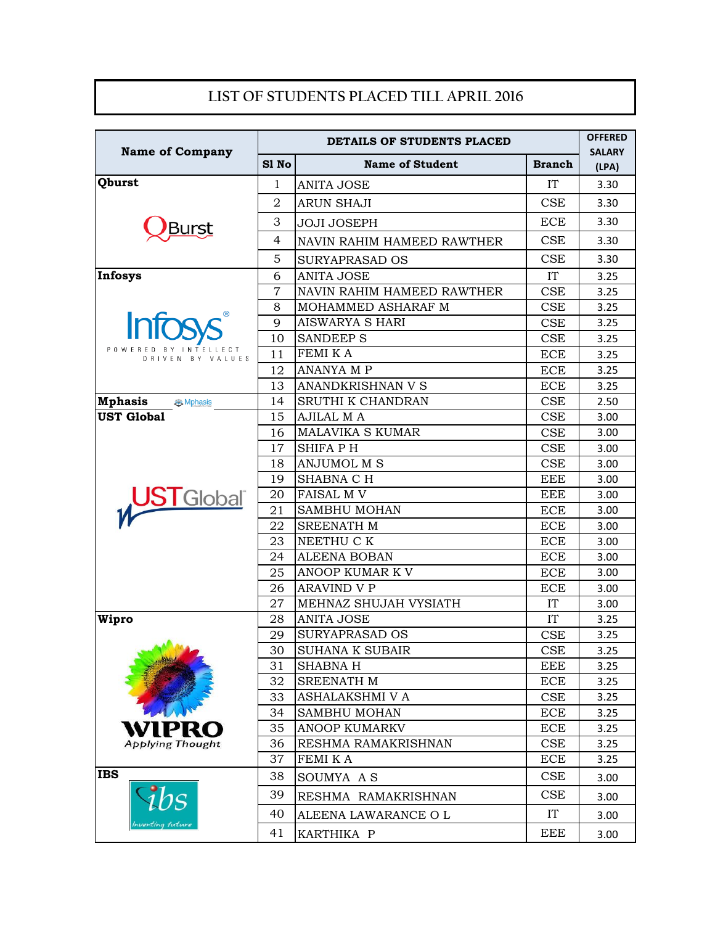## **LIST OF STUDENTS PLACED TILL APRIL 2016**

|                                                             |                     | DETAILS OF STUDENTS PLACED                       |                          | <b>OFFERED</b>         |
|-------------------------------------------------------------|---------------------|--------------------------------------------------|--------------------------|------------------------|
| <b>Name of Company</b>                                      | S1 No               | <b>Name of Student</b>                           | <b>Branch</b>            | <b>SALARY</b><br>(LPA) |
| <b>Qburst</b>                                               | 1                   | <b>ANITA JOSE</b>                                | <b>IT</b>                | 3.30                   |
|                                                             | 2                   | <b>ARUN SHAJI</b>                                | <b>CSE</b>               | 3.30                   |
|                                                             | 3                   | <b>JOJI JOSEPH</b>                               | <b>ECE</b>               | 3.30                   |
| <u>Burst</u>                                                | 4                   | NAVIN RAHIM HAMEED RAWTHER                       | <b>CSE</b>               | 3.30                   |
|                                                             | 5                   |                                                  |                          | 3.30                   |
|                                                             |                     | SURYAPRASAD OS                                   | <b>CSE</b>               |                        |
| <b>Infosys</b>                                              | 6<br>$\overline{7}$ | <b>ANITA JOSE</b>                                | <b>IT</b><br><b>CSE</b>  | 3.25                   |
|                                                             |                     | NAVIN RAHIM HAMEED RAWTHER<br>MOHAMMED ASHARAF M |                          | 3.25                   |
|                                                             | 8<br>9              |                                                  | <b>CSE</b>               | 3.25                   |
| <b>Infosys</b>                                              |                     | <b>AISWARYA S HARI</b><br><b>SANDEEP S</b>       | <b>CSE</b>               | 3.25                   |
| POWERED BY INTELLECT                                        | 10<br>11            | <b>FEMI KA</b>                                   | <b>CSE</b><br><b>ECE</b> | 3.25<br>3.25           |
| DRIVEN BY VALUES                                            | 12                  | <b>ANANYA M P</b>                                | <b>ECE</b>               |                        |
|                                                             | 13                  | <b>ANANDKRISHNAN V S</b>                         |                          | 3.25                   |
|                                                             | 14                  | SRUTHI K CHANDRAN                                | <b>ECE</b>               | 3.25                   |
| <b>Mphasis</b><br><b>&amp;</b> Mphasis<br><b>UST Global</b> | 15                  | <b>AJILAL MA</b>                                 | <b>CSE</b><br><b>CSE</b> | 2.50<br>3.00           |
|                                                             | 16                  | <b>MALAVIKA S KUMAR</b>                          | <b>CSE</b>               | 3.00                   |
|                                                             | 17                  | <b>SHIFA PH</b>                                  | <b>CSE</b>               | 3.00                   |
|                                                             | 18                  | <b>ANJUMOL M S</b>                               | <b>CSE</b>               | 3.00                   |
|                                                             | 19                  | <b>SHABNA C H</b>                                | <b>EEE</b>               | 3.00                   |
|                                                             | 20                  | <b>FAISAL MV</b>                                 | <b>EEE</b>               | 3.00                   |
| US Global <sup>®</sup>                                      | 21                  | <b>SAMBHU MOHAN</b>                              | <b>ECE</b>               | 3.00                   |
|                                                             | 22                  | <b>SREENATH M</b>                                | <b>ECE</b>               | 3.00                   |
|                                                             | 23                  | NEETHU CK                                        | ECE                      | 3.00                   |
|                                                             | 24                  | <b>ALEENA BOBAN</b>                              | <b>ECE</b>               | 3.00                   |
|                                                             | 25                  | ANOOP KUMAR K V                                  | <b>ECE</b>               | 3.00                   |
|                                                             | 26                  | <b>ARAVIND V P</b>                               | <b>ECE</b>               | 3.00                   |
|                                                             | 27                  | MEHNAZ SHUJAH VYSIATH                            | IT                       | 3.00                   |
| Wipro                                                       | 28                  | <b>ANITA JOSE</b>                                | <b>IT</b>                | 3.25                   |
|                                                             | 29                  | <b>SURYAPRASAD OS</b>                            | <b>CSE</b>               | 3.25                   |
| <b>AMAGA</b>                                                | 30                  | <b>SUHANA K SUBAIR</b>                           | <b>CSE</b>               | 3.25                   |
|                                                             | 31                  | <b>SHABNA H</b>                                  | <b>EEE</b>               | 3.25                   |
|                                                             | 32                  | <b>SREENATH M</b>                                | <b>ECE</b>               | 3.25                   |
|                                                             | 33                  | ASHALAKSHMI V A                                  | <b>CSE</b>               | 3.25                   |
|                                                             | 34                  | <b>SAMBHU MOHAN</b>                              | <b>ECE</b>               | 3.25                   |
| WIPRO                                                       | 35                  | <b>ANOOP KUMARKV</b>                             | <b>ECE</b>               | 3.25                   |
| <b>Applying Thought</b>                                     | 36                  | RESHMA RAMAKRISHNAN                              | <b>CSE</b>               | 3.25                   |
|                                                             | 37                  | FEMI K A                                         | <b>ECE</b>               | 3.25                   |
| <b>IBS</b>                                                  | 38                  | SOUMYA AS                                        | <b>CSE</b>               | 3.00                   |
|                                                             | 39                  | RESHMA RAMAKRISHNAN                              | <b>CSE</b>               | 3.00                   |
|                                                             | 40                  | ALEENA LAWARANCE O L                             | IT                       | 3.00                   |
| Inventing future                                            | 41                  | KARTHIKA P                                       | EEE                      | 3.00                   |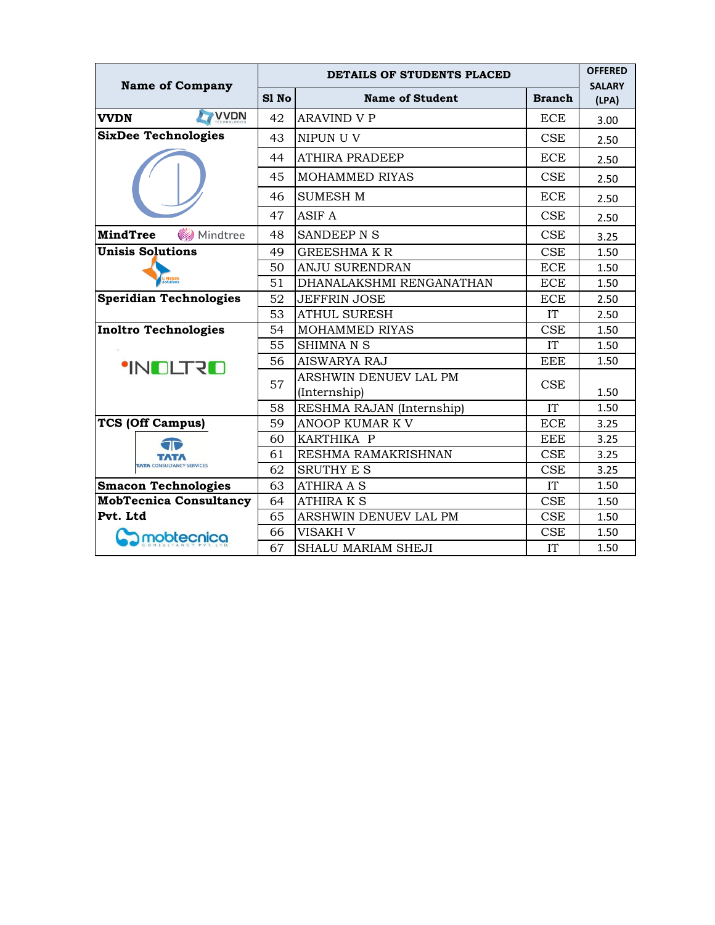|                                  | DETAILS OF STUDENTS PLACED |                               |               |                        |
|----------------------------------|----------------------------|-------------------------------|---------------|------------------------|
| <b>Name of Company</b>           | S1 No                      | <b>Name of Student</b>        | <b>Branch</b> | <b>SALARY</b><br>(LPA) |
| <b>VVDN</b><br><b>VVDN</b>       | 42                         | <b>ARAVIND V P</b>            | <b>ECE</b>    | 3.00                   |
| <b>SixDee Technologies</b>       | 43                         | NIPUN U V                     | <b>CSE</b>    | 2.50                   |
|                                  | 44                         | <b>ATHIRA PRADEEP</b>         | <b>ECE</b>    | 2.50                   |
|                                  | 45                         | <b>MOHAMMED RIYAS</b>         | <b>CSE</b>    | 2.50                   |
|                                  | 46                         | <b>SUMESH M</b>               | <b>ECE</b>    | 2.50                   |
|                                  | 47                         | <b>ASIF A</b>                 | <b>CSE</b>    | 2.50                   |
| <b>MindTree</b><br>Mindtree      | 48                         | <b>SANDEEP N S</b>            | <b>CSE</b>    | 3.25                   |
| <b>Unisis Solutions</b>          | 49                         | <b>GREESHMAKR</b>             | <b>CSE</b>    | 1.50                   |
|                                  | 50                         | <b>ANJU SURENDRAN</b>         | <b>ECE</b>    | 1.50                   |
|                                  | 51                         | DHANALAKSHMI RENGANATHAN      | <b>ECE</b>    | 1.50                   |
| <b>Speridian Technologies</b>    | 52                         | <b>JEFFRIN JOSE</b>           | <b>ECE</b>    | 2.50                   |
|                                  | 53                         | <b>ATHUL SURESH</b>           | <b>IT</b>     | 2.50                   |
| <b>Inoltro Technologies</b>      | 54                         | MOHAMMED RIYAS                | <b>CSE</b>    | 1.50                   |
|                                  | 55                         | <b>SHIMNANS</b>               | IT            | 1.50                   |
| <b>'INDLTRD</b>                  | 56                         | <b>AISWARYA RAJ</b>           | <b>EEE</b>    | 1.50                   |
|                                  | 57                         | ARSHWIN DENUEV LAL PM         | <b>CSE</b>    |                        |
|                                  |                            | (Internship)                  |               | 1.50                   |
|                                  | 58                         | RESHMA RAJAN (Internship)     | <b>IT</b>     | 1.50                   |
| <b>TCS (Off Campus)</b>          | 59                         | <b>ANOOP KUMAR K V</b>        | <b>ECE</b>    | 3.25                   |
|                                  | 60                         | KARTHIKA P                    | <b>EEE</b>    | 3.25                   |
|                                  | 61                         | RESHMA RAMAKRISHNAN           | <b>CSE</b>    | 3.25                   |
| <b>TATA CONSULTANCY SERVICES</b> | 62                         | <b>SRUTHY E S</b>             | <b>CSE</b>    | 3.25                   |
| <b>Smacon Technologies</b>       | 63                         | <b>ATHIRA A S</b>             | <b>IT</b>     | 1.50                   |
| <b>MobTecnica Consultancy</b>    | 64                         | <b>ATHIRA K S</b>             | <b>CSE</b>    | 1.50                   |
| Pvt. Ltd                         | 65                         | ARSHWIN DENUEV LAL PM         | <b>CSE</b>    | 1.50                   |
| mobtecnica                       | 66                         | <b>VISAKH V</b><br><b>CSE</b> |               | 1.50                   |
|                                  | 67                         | <b>SHALU MARIAM SHEJI</b>     | IT            | 1.50                   |